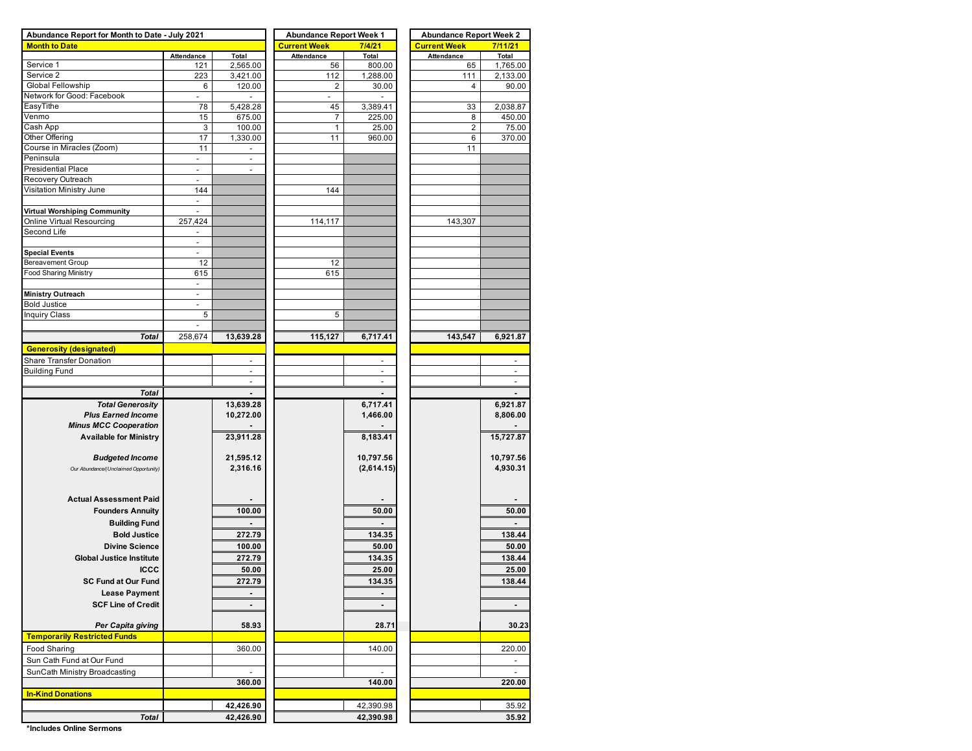| Abundance Report for Month to Date - July 2021 |                          |                          | <b>Abundance Report Week 1</b> |                          | <b>Abundance Report Week 2</b> |                |  |  |  |  |
|------------------------------------------------|--------------------------|--------------------------|--------------------------------|--------------------------|--------------------------------|----------------|--|--|--|--|
| <b>Month to Date</b>                           |                          |                          | <b>Current Week</b>            | 7/4/21                   | <b>Current Week</b>            | 7/11/21        |  |  |  |  |
|                                                | Attendance               | Total                    | Attendance                     | Total                    | <b>Attendance</b>              | Total          |  |  |  |  |
| Service <sub>1</sub>                           | 121                      | 2,565.00                 | 56                             | 800.00                   | 65                             | 1,765.00       |  |  |  |  |
| Service 2                                      | 223                      | 3,421.00                 | 112                            | 1,288.00                 | 111                            | 2,133.00       |  |  |  |  |
| Global Fellowship                              | 6                        | 120.00                   | 2                              | 30.00                    | 4                              | 90.00          |  |  |  |  |
| Network for Good: Facebook                     | $\overline{\phantom{a}}$ |                          | $\sim$                         |                          |                                |                |  |  |  |  |
| EasyTithe                                      | 78                       | 5,428.28                 | 45                             | 3,389.41                 | 33                             | 2,038.87       |  |  |  |  |
| Venmo                                          | 15                       | 675.00                   | $\overline{7}$                 | 225.00                   | 8                              | 450.00         |  |  |  |  |
| Cash App                                       | 3                        | 100.00                   | $\mathbf{1}$                   | 25.00                    | $\sqrt{2}$                     | 75.00          |  |  |  |  |
| Other Offering                                 | 17                       | 1,330.00                 | 11                             | 960.00                   | 6                              | 370.00         |  |  |  |  |
| Course in Miracles (Zoom)                      | 11                       | $\overline{\phantom{a}}$ |                                |                          | 11                             |                |  |  |  |  |
| Peninsula                                      | $\sim$                   | $\overline{\phantom{a}}$ |                                |                          |                                |                |  |  |  |  |
| <b>Presidential Place</b>                      | Ĭ.                       | $\overline{\phantom{a}}$ |                                |                          |                                |                |  |  |  |  |
| Recovery Outreach                              | $\overline{\phantom{a}}$ |                          |                                |                          |                                |                |  |  |  |  |
| Visitation Ministry June                       | 144                      |                          | 144                            |                          |                                |                |  |  |  |  |
|                                                | $\blacksquare$           |                          |                                |                          |                                |                |  |  |  |  |
| Virtual Worshiping Community                   | $\sim$                   |                          |                                |                          |                                |                |  |  |  |  |
| Online Virtual Resourcing                      | 257,424                  |                          | 114,117                        |                          | 143,307                        |                |  |  |  |  |
| Second Life                                    |                          |                          |                                |                          |                                |                |  |  |  |  |
|                                                | $\sim$                   |                          |                                |                          |                                |                |  |  |  |  |
|                                                |                          |                          |                                |                          |                                |                |  |  |  |  |
| <b>Special Events</b>                          | $\overline{\phantom{a}}$ |                          |                                |                          |                                |                |  |  |  |  |
| Bereavement Group                              | 12                       |                          | 12                             |                          |                                |                |  |  |  |  |
| Food Sharing Ministry                          | 615                      |                          | 615                            |                          |                                |                |  |  |  |  |
|                                                | $\overline{\phantom{a}}$ |                          |                                |                          |                                |                |  |  |  |  |
| <b>Ministry Outreach</b>                       | $\overline{\phantom{a}}$ |                          |                                |                          |                                |                |  |  |  |  |
| <b>Bold Justice</b>                            | $\sim$                   |                          |                                |                          |                                |                |  |  |  |  |
| <b>Inquiry Class</b>                           | 5                        |                          | 5                              |                          |                                |                |  |  |  |  |
|                                                | $\overline{\phantom{a}}$ |                          |                                |                          |                                |                |  |  |  |  |
| Total                                          | 258,674                  | 13,639.28                | 115,127                        | 6,717.41                 | 143,547                        | 6,921.87       |  |  |  |  |
| <b>Generosity (designated)</b>                 |                          |                          |                                |                          |                                |                |  |  |  |  |
| Share Transfer Donation                        |                          | $\overline{\phantom{a}}$ |                                |                          |                                |                |  |  |  |  |
| <b>Building Fund</b>                           |                          | $\overline{a}$           |                                | $\overline{a}$           |                                | $\overline{a}$ |  |  |  |  |
|                                                |                          |                          |                                | $\overline{a}$           |                                |                |  |  |  |  |
|                                                |                          |                          |                                |                          |                                |                |  |  |  |  |
| <b>Total</b>                                   |                          |                          |                                |                          |                                |                |  |  |  |  |
| <b>Total Generosity</b>                        |                          | 13,639.28                |                                | 6,717.41                 |                                | 6,921.87       |  |  |  |  |
| <b>Plus Earned Income</b>                      |                          | 10,272.00                |                                | 1,466.00                 |                                | 8,806.00       |  |  |  |  |
| <b>Minus MCC Cooperation</b>                   |                          |                          |                                |                          |                                |                |  |  |  |  |
| <b>Available for Ministry</b>                  |                          | 23,911.28                |                                | 8,183.41                 |                                | 15,727.87      |  |  |  |  |
|                                                |                          |                          |                                |                          |                                |                |  |  |  |  |
| <b>Budgeted Income</b>                         |                          | 21,595.12                |                                | 10,797.56                |                                | 10,797.56      |  |  |  |  |
| Our Abundance/(Unclaimed Opportunity)          |                          | 2,316.16                 |                                | (2,614.15)               |                                | 4,930.31       |  |  |  |  |
|                                                |                          |                          |                                |                          |                                |                |  |  |  |  |
|                                                |                          |                          |                                |                          |                                |                |  |  |  |  |
| <b>Actual Assessment Paid</b>                  |                          |                          |                                |                          |                                |                |  |  |  |  |
| <b>Founders Annuity</b>                        |                          | 100.00                   |                                | 50.00                    |                                | 50.00          |  |  |  |  |
| <b>Building Fund</b>                           |                          |                          |                                |                          |                                |                |  |  |  |  |
|                                                |                          |                          |                                |                          |                                |                |  |  |  |  |
| <b>Bold Justice</b>                            |                          | 272.79                   |                                | 134.35                   |                                | 138.44         |  |  |  |  |
| <b>Divine Science</b>                          |                          | 100.00                   |                                | 50.00                    |                                | 50.00          |  |  |  |  |
| <b>Global Justice Institute</b>                |                          | 272.79                   |                                | 134.35                   |                                | 138.44         |  |  |  |  |
| <b>ICCC</b>                                    |                          | 50.00                    |                                | 25.00                    |                                | 25.00          |  |  |  |  |
| <b>SC Fund at Our Fund</b>                     |                          | 272.79                   |                                | 134.35                   |                                | 138.44         |  |  |  |  |
|                                                |                          |                          |                                |                          |                                |                |  |  |  |  |
| <b>Lease Payment</b>                           |                          | $\blacksquare$           |                                |                          |                                |                |  |  |  |  |
| <b>SCF Line of Credit</b>                      |                          | $\blacksquare$           |                                | $\blacksquare$           |                                | $\blacksquare$ |  |  |  |  |
|                                                |                          |                          |                                |                          |                                |                |  |  |  |  |
| Per Capita giving                              |                          | 58.93                    |                                | 28.71                    |                                | 30.23          |  |  |  |  |
| <b>Temporarily Restricted Funds</b>            |                          |                          |                                |                          |                                |                |  |  |  |  |
| Food Sharing                                   |                          | 360.00                   |                                | 140.00                   |                                | 220.00         |  |  |  |  |
| Sun Cath Fund at Our Fund                      |                          |                          |                                |                          |                                | $\blacksquare$ |  |  |  |  |
|                                                |                          |                          |                                |                          |                                |                |  |  |  |  |
| SunCath Ministry Broadcasting                  |                          | $\overline{a}$           |                                | $\overline{\phantom{a}}$ |                                | $\overline{a}$ |  |  |  |  |
|                                                |                          | 360.00                   |                                | 140.00                   |                                | 220.00         |  |  |  |  |
| <b>In-Kind Donations</b>                       |                          |                          |                                |                          |                                |                |  |  |  |  |
|                                                |                          | 42,426.90                |                                | 42,390.98                |                                | 35.92          |  |  |  |  |
| <b>Total</b>                                   |                          | 42,426.90                |                                | 42,390.98                |                                | 35.92          |  |  |  |  |
|                                                |                          |                          |                                |                          |                                |                |  |  |  |  |

**\*Includes Online Sermons**